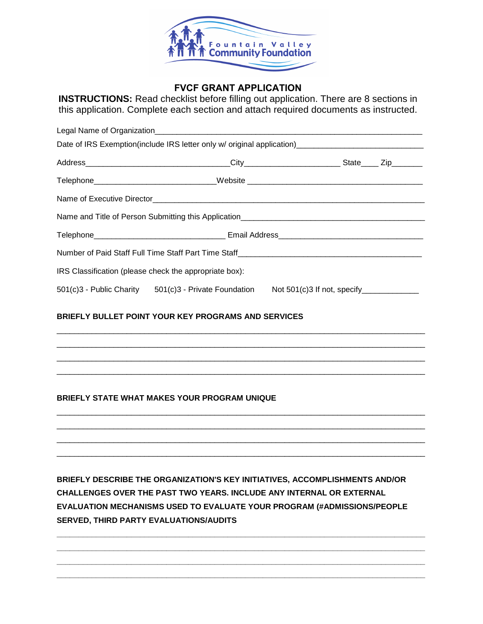

# **FVCF GRANT APPLICATION**

**INSTRUCTIONS:** Read checklist before filling out application. There are 8 sections in this application. Complete each section and attach required documents as instructed.

|  | Date of IRS Exemption(include IRS letter only w/ original application)______________________________ |  |  |  |
|--|------------------------------------------------------------------------------------------------------|--|--|--|
|  |                                                                                                      |  |  |  |
|  | Telephone_____________________________Website __________________________________                     |  |  |  |
|  |                                                                                                      |  |  |  |
|  |                                                                                                      |  |  |  |
|  |                                                                                                      |  |  |  |
|  |                                                                                                      |  |  |  |
|  | IRS Classification (please check the appropriate box):                                               |  |  |  |
|  | 501(c)3 - Public Charity 501(c)3 - Private Foundation Not 501(c)3 If not, specify _________________  |  |  |  |

\_\_\_\_\_\_\_\_\_\_\_\_\_\_\_\_\_\_\_\_\_\_\_\_\_\_\_\_\_\_\_\_\_\_\_\_\_\_\_\_\_\_\_\_\_\_\_\_\_\_\_\_\_\_\_\_\_\_\_\_\_\_\_\_\_\_\_\_\_\_\_\_\_\_\_\_\_\_\_\_\_\_\_\_ \_\_\_\_\_\_\_\_\_\_\_\_\_\_\_\_\_\_\_\_\_\_\_\_\_\_\_\_\_\_\_\_\_\_\_\_\_\_\_\_\_\_\_\_\_\_\_\_\_\_\_\_\_\_\_\_\_\_\_\_\_\_\_\_\_\_\_\_\_\_\_\_\_\_\_\_\_\_\_\_\_\_\_\_ \_\_\_\_\_\_\_\_\_\_\_\_\_\_\_\_\_\_\_\_\_\_\_\_\_\_\_\_\_\_\_\_\_\_\_\_\_\_\_\_\_\_\_\_\_\_\_\_\_\_\_\_\_\_\_\_\_\_\_\_\_\_\_\_\_\_\_\_\_\_\_\_\_\_\_\_\_\_\_\_\_\_\_\_ \_\_\_\_\_\_\_\_\_\_\_\_\_\_\_\_\_\_\_\_\_\_\_\_\_\_\_\_\_\_\_\_\_\_\_\_\_\_\_\_\_\_\_\_\_\_\_\_\_\_\_\_\_\_\_\_\_\_\_\_\_\_\_\_\_\_\_\_\_\_\_\_\_\_\_\_\_\_\_\_\_\_\_\_

\_\_\_\_\_\_\_\_\_\_\_\_\_\_\_\_\_\_\_\_\_\_\_\_\_\_\_\_\_\_\_\_\_\_\_\_\_\_\_\_\_\_\_\_\_\_\_\_\_\_\_\_\_\_\_\_\_\_\_\_\_\_\_\_\_\_\_\_\_\_\_\_\_\_\_\_\_\_\_\_\_\_\_\_ \_\_\_\_\_\_\_\_\_\_\_\_\_\_\_\_\_\_\_\_\_\_\_\_\_\_\_\_\_\_\_\_\_\_\_\_\_\_\_\_\_\_\_\_\_\_\_\_\_\_\_\_\_\_\_\_\_\_\_\_\_\_\_\_\_\_\_\_\_\_\_\_\_\_\_\_\_\_\_\_\_\_\_\_ \_\_\_\_\_\_\_\_\_\_\_\_\_\_\_\_\_\_\_\_\_\_\_\_\_\_\_\_\_\_\_\_\_\_\_\_\_\_\_\_\_\_\_\_\_\_\_\_\_\_\_\_\_\_\_\_\_\_\_\_\_\_\_\_\_\_\_\_\_\_\_\_\_\_\_\_\_\_\_\_\_\_\_\_ \_\_\_\_\_\_\_\_\_\_\_\_\_\_\_\_\_\_\_\_\_\_\_\_\_\_\_\_\_\_\_\_\_\_\_\_\_\_\_\_\_\_\_\_\_\_\_\_\_\_\_\_\_\_\_\_\_\_\_\_\_\_\_\_\_\_\_\_\_\_\_\_\_\_\_\_\_\_\_\_\_\_\_\_

## **BRIEFLY BULLET POINT YOUR KEY PROGRAMS AND SERVICES**



**BRIEFLY DESCRIBE THE ORGANIZATION'S KEY INITIATIVES, ACCOMPLISHMENTS AND/OR CHALLENGES OVER THE PAST TWO YEARS. INCLUDE ANY INTERNAL OR EXTERNAL EVALUATION MECHANISMS USED TO EVALUATE YOUR PROGRAM (#ADMISSIONS/PEOPLE SERVED, THIRD PARTY EVALUATIONS/AUDITS**

**\_\_\_\_\_\_\_\_\_\_\_\_\_\_\_\_\_\_\_\_\_\_\_\_\_\_\_\_\_\_\_\_\_\_\_\_\_\_\_\_\_\_\_\_\_\_\_\_\_\_\_\_\_\_\_\_\_\_\_\_\_\_\_\_\_\_\_\_\_\_\_\_\_\_\_\_\_\_\_\_\_\_\_\_ \_\_\_\_\_\_\_\_\_\_\_\_\_\_\_\_\_\_\_\_\_\_\_\_\_\_\_\_\_\_\_\_\_\_\_\_\_\_\_\_\_\_\_\_\_\_\_\_\_\_\_\_\_\_\_\_\_\_\_\_\_\_\_\_\_\_\_\_\_\_\_\_\_\_\_\_\_\_\_\_\_\_\_\_ \_\_\_\_\_\_\_\_\_\_\_\_\_\_\_\_\_\_\_\_\_\_\_\_\_\_\_\_\_\_\_\_\_\_\_\_\_\_\_\_\_\_\_\_\_\_\_\_\_\_\_\_\_\_\_\_\_\_\_\_\_\_\_\_\_\_\_\_\_\_\_\_\_\_\_\_\_\_\_\_\_\_\_\_ \_\_\_\_\_\_\_\_\_\_\_\_\_\_\_\_\_\_\_\_\_\_\_\_\_\_\_\_\_\_\_\_\_\_\_\_\_\_\_\_\_\_\_\_\_\_\_\_\_\_\_\_\_\_\_\_\_\_\_\_\_\_\_\_\_\_\_\_\_\_\_\_\_\_\_\_\_\_\_\_\_\_\_\_**